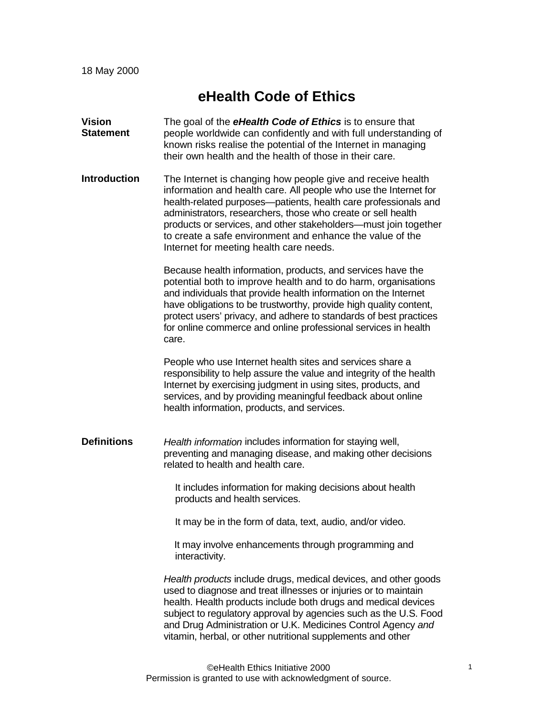# **eHealth Code of Ethics**

| <b>Vision</b><br><b>Statement</b> | The goal of the <b>eHealth Code of Ethics</b> is to ensure that<br>people worldwide can confidently and with full understanding of<br>known risks realise the potential of the Internet in managing<br>their own health and the health of those in their care. |
|-----------------------------------|----------------------------------------------------------------------------------------------------------------------------------------------------------------------------------------------------------------------------------------------------------------|
| <b>Introduction</b>               | The Internet is changing how people give and receive health                                                                                                                                                                                                    |

information and health care. All people who use the Internet for health-related purposes—patients, health care professionals and administrators, researchers, those who create or sell health products or services, and other stakeholders—must join together to create a safe environment and enhance the value of the Internet for meeting health care needs.

> Because health information, products, and services have the potential both to improve health and to do harm, organisations and individuals that provide health information on the Internet have obligations to be trustworthy, provide high quality content, protect users' privacy, and adhere to standards of best practices for online commerce and online professional services in health care.

> People who use Internet health sites and services share a responsibility to help assure the value and integrity of the health Internet by exercising judgment in using sites, products, and services, and by providing meaningful feedback about online health information, products, and services.

**Definitions** *Health information* includes information for staying well, preventing and managing disease, and making other decisions related to health and health care.

> It includes information for making decisions about health products and health services.

It may be in the form of data, text, audio, and/or video.

It may involve enhancements through programming and interactivity.

*Health products* include drugs, medical devices, and other goods used to diagnose and treat illnesses or injuries or to maintain health. Health products include both drugs and medical devices subject to regulatory approval by agencies such as the U.S. Food and Drug Administration or U.K. Medicines Control Agency *and* vitamin, herbal, or other nutritional supplements and other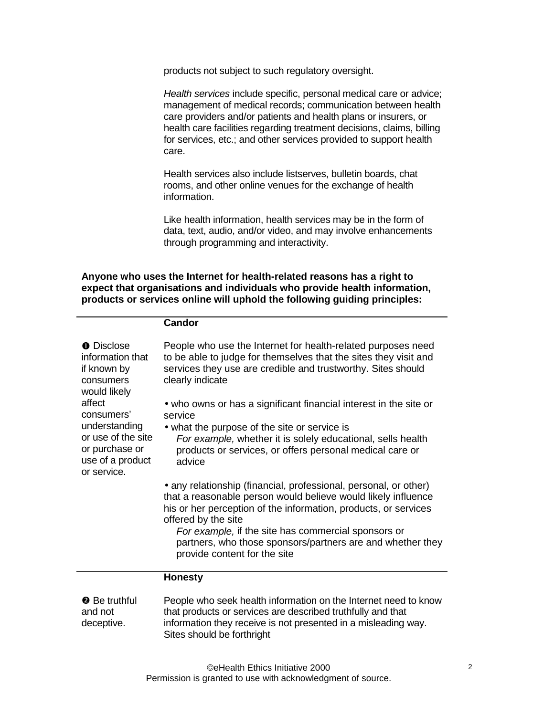products not subject to such regulatory oversight.

*Health services* include specific, personal medical care or advice; management of medical records; communication between health care providers and/or patients and health plans or insurers, or health care facilities regarding treatment decisions, claims, billing for services, etc.; and other services provided to support health care.

Health services also include listserves, bulletin boards, chat rooms, and other online venues for the exchange of health information.

Like health information, health services may be in the form of data, text, audio, and/or video, and may involve enhancements through programming and interactivity.

**Anyone who uses the Internet for health-related reasons has a right to expect that organisations and individuals who provide health information, products or services online will uphold the following guiding principles:**

| ando |  |
|------|--|
|------|--|

| <b>O</b> Disclose<br>information that<br>if known by<br>consumers<br>would likely<br>affect | People who use the Internet for health-related purposes need<br>to be able to judge for themselves that the sites they visit and<br>services they use are credible and trustworthy. Sites should<br>clearly indicate           |
|---------------------------------------------------------------------------------------------|--------------------------------------------------------------------------------------------------------------------------------------------------------------------------------------------------------------------------------|
| consumers'                                                                                  | • who owns or has a significant financial interest in the site or<br>service                                                                                                                                                   |
| understanding<br>or use of the site<br>or purchase or<br>use of a product<br>or service.    | • what the purpose of the site or service is<br>For example, whether it is solely educational, sells health<br>products or services, or offers personal medical care or<br>advice                                              |
|                                                                                             | • any relationship (financial, professional, personal, or other)<br>that a reasonable person would believe would likely influence<br>his or her perception of the information, products, or services<br>offered by the site    |
|                                                                                             | For example, if the site has commercial sponsors or<br>partners, who those sponsors/partners are and whether they<br>provide content for the site                                                                              |
|                                                                                             | <b>Honesty</b>                                                                                                                                                                                                                 |
| <b>O</b> Be truthful<br>and not<br>deceptive.                                               | People who seek health information on the Internet need to know<br>that products or services are described truthfully and that<br>information they receive is not presented in a misleading way.<br>Sites should be forthright |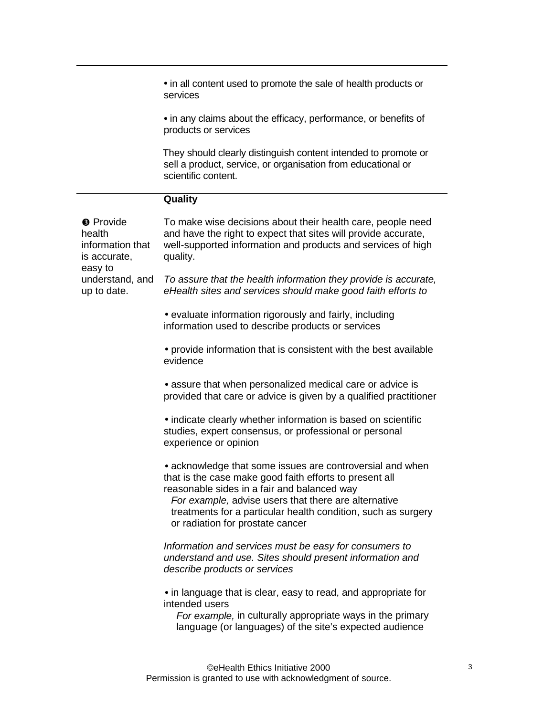• in all content used to promote the sale of health products or services

• in any claims about the efficacy, performance, or benefits of products or services

They should clearly distinguish content intended to promote or sell a product, service, or organisation from educational or scientific content.

## **Quality**

| <b>8</b> Provide<br>health<br>information that<br>is accurate,<br>easy to | To make wise decisions about their health care, people need<br>and have the right to expect that sites will provide accurate,<br>well-supported information and products and services of high<br>quality.                                                                                                                        |
|---------------------------------------------------------------------------|----------------------------------------------------------------------------------------------------------------------------------------------------------------------------------------------------------------------------------------------------------------------------------------------------------------------------------|
| understand, and<br>up to date.                                            | To assure that the health information they provide is accurate,<br>eHealth sites and services should make good faith efforts to                                                                                                                                                                                                  |
|                                                                           | • evaluate information rigorously and fairly, including<br>information used to describe products or services                                                                                                                                                                                                                     |
|                                                                           | • provide information that is consistent with the best available<br>evidence                                                                                                                                                                                                                                                     |
|                                                                           | • assure that when personalized medical care or advice is<br>provided that care or advice is given by a qualified practitioner                                                                                                                                                                                                   |
|                                                                           | • indicate clearly whether information is based on scientific<br>studies, expert consensus, or professional or personal<br>experience or opinion                                                                                                                                                                                 |
|                                                                           | • acknowledge that some issues are controversial and when<br>that is the case make good faith efforts to present all<br>reasonable sides in a fair and balanced way<br>For example, advise users that there are alternative<br>treatments for a particular health condition, such as surgery<br>or radiation for prostate cancer |
|                                                                           | Information and services must be easy for consumers to<br>understand and use. Sites should present information and<br>describe products or services                                                                                                                                                                              |
|                                                                           | • in language that is clear, easy to read, and appropriate for<br>intended users<br>For example, in culturally appropriate ways in the primary<br>language (or languages) of the site's expected audience                                                                                                                        |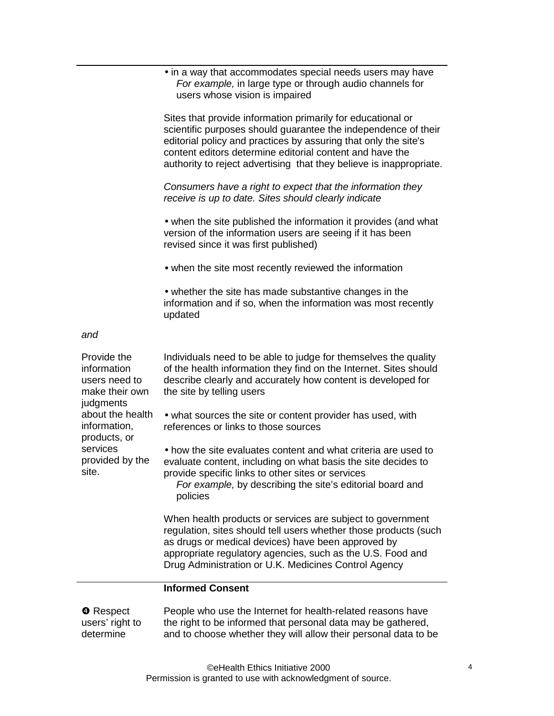• in a way that accommodates special needs users may have *For example,* in large type or through audio channels for users whose vision is impaired

Sites that provide information primarily for educational or scientific purposes should guarantee the independence of their editorial policy and practices by assuring that only the site's content editors determine editorial content and have the authority to reject advertising that they believe is inappropriate.

*Consumers have a right to expect that the information they receive is up to date. Sites should clearly indicate*

• when the site published the information it provides (and what version of the information users are seeing if it has been revised since it was first published)

• when the site most recently reviewed the information

• whether the site has made substantive changes in the information and if so, when the information was most recently updated

#### *and*

| Provide the<br>information<br>users need to<br>make their own<br>judgments<br>about the health<br>information,<br>products, or | Individuals need to be able to judge for themselves the quality<br>of the health information they find on the Internet. Sites should<br>describe clearly and accurately how content is developed for<br>the site by telling users<br>• what sources the site or content provider has used, with<br>references or links to those sources |
|--------------------------------------------------------------------------------------------------------------------------------|-----------------------------------------------------------------------------------------------------------------------------------------------------------------------------------------------------------------------------------------------------------------------------------------------------------------------------------------|
| services<br>provided by the<br>site.                                                                                           | $\bullet$ how the site evaluates content and what criteria are used to<br>evaluate content, including on what basis the site decides to<br>provide specific links to other sites or services<br>For example, by describing the site's editorial board and<br>policies                                                                   |
|                                                                                                                                | When health products or services are subject to government<br>regulation, sites should tell users whether those products (such<br>as drugs or medical devices) have been approved by<br>appropriate regulatory agencies, such as the U.S. Food and<br>Drug Administration or U.K. Medicines Control Agency                              |
|                                                                                                                                | <b>Informed Consent</b>                                                                                                                                                                                                                                                                                                                 |
| <b>O</b> Respect<br>users' right to<br>determine                                                                               | People who use the Internet for health-related reasons have<br>the right to be informed that personal data may be gathered,<br>and to choose whether they will allow their personal data to be                                                                                                                                          |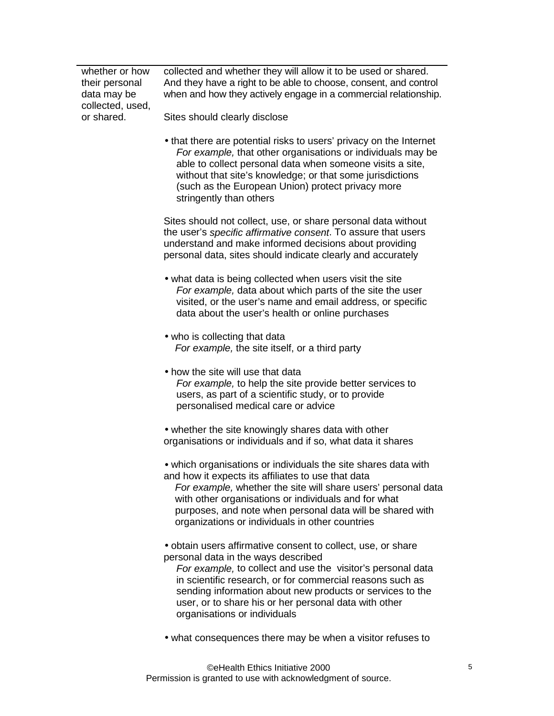| whether or how   | collected and whether they will allow it to be used or shared.   |
|------------------|------------------------------------------------------------------|
| their personal   | And they have a right to be able to choose, consent, and control |
| data may be      | when and how they actively engage in a commercial relationship.  |
| collected, used, |                                                                  |
| or shared.       | Sites should clearly disclose                                    |

• that there are potential risks to users' privacy on the Internet *For example,* that other organisations or individuals may be able to collect personal data when someone visits a site, without that site's knowledge; or that some jurisdictions (such as the European Union) protect privacy more stringently than others

Sites should not collect, use, or share personal data without the user's *specific affirmative consent*. To assure that users understand and make informed decisions about providing personal data, sites should indicate clearly and accurately

- what data is being collected when users visit the site *For example,* data about which parts of the site the user visited, or the user's name and email address, or specific data about the user's health or online purchases
- who is collecting that data *For example,* the site itself, or a third party
- how the site will use that data *For example,* to help the site provide better services to users, as part of a scientific study, or to provide personalised medical care or advice
- whether the site knowingly shares data with other organisations or individuals and if so, what data it shares
- which organisations or individuals the site shares data with and how it expects its affiliates to use that data *For example,* whether the site will share users' personal data with other organisations or individuals and for what purposes, and note when personal data will be shared with
- obtain users affirmative consent to collect, use, or share personal data in the ways described

organizations or individuals in other countries

- *For example,* to collect and use the visitor's personal data in scientific research, or for commercial reasons such as sending information about new products or services to the user, or to share his or her personal data with other organisations or individuals
- what consequences there may be when a visitor refuses to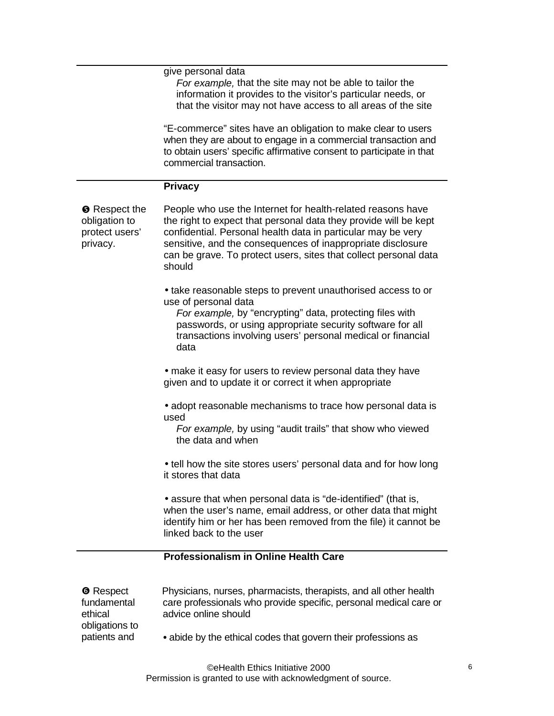give personal data

*For example,* that the site may not be able to tailor the information it provides to the visitor's particular needs, or that the visitor may not have access to all areas of the site

"E-commerce" sites have an obligation to make clear to users when they are about to engage in a commercial transaction and to obtain users' specific affirmative consent to participate in that commercial transaction.

# **Privacy**

| <b>6</b> Respect the<br>obligation to<br>protect users'<br>privacy. | People who use the Internet for health-related reasons have<br>the right to expect that personal data they provide will be kept<br>confidential. Personal health data in particular may be very<br>sensitive, and the consequences of inappropriate disclosure<br>can be grave. To protect users, sites that collect personal data<br>should |
|---------------------------------------------------------------------|----------------------------------------------------------------------------------------------------------------------------------------------------------------------------------------------------------------------------------------------------------------------------------------------------------------------------------------------|
|                                                                     | • take reasonable steps to prevent unauthorised access to or<br>use of personal data<br>For example, by "encrypting" data, protecting files with<br>passwords, or using appropriate security software for all<br>transactions involving users' personal medical or financial<br>data                                                         |
|                                                                     | • make it easy for users to review personal data they have<br>given and to update it or correct it when appropriate                                                                                                                                                                                                                          |
|                                                                     | • adopt reasonable mechanisms to trace how personal data is                                                                                                                                                                                                                                                                                  |
|                                                                     | used<br>For example, by using "audit trails" that show who viewed<br>the data and when                                                                                                                                                                                                                                                       |
|                                                                     | • tell how the site stores users' personal data and for how long<br>it stores that data                                                                                                                                                                                                                                                      |
|                                                                     | • assure that when personal data is "de-identified" (that is,<br>when the user's name, email address, or other data that might<br>identify him or her has been removed from the file) it cannot be<br>linked back to the user                                                                                                                |
|                                                                     | <b>Professionalism in Online Health Care</b>                                                                                                                                                                                                                                                                                                 |
|                                                                     |                                                                                                                                                                                                                                                                                                                                              |
| <b>6</b> Respect<br>fundamental<br>ethical<br>obligations to        | Physicians, nurses, pharmacists, therapists, and all other health<br>care professionals who provide specific, personal medical care or<br>advice online should                                                                                                                                                                               |
| patients and                                                        | • abide by the ethical codes that govern their professions as                                                                                                                                                                                                                                                                                |
|                                                                     |                                                                                                                                                                                                                                                                                                                                              |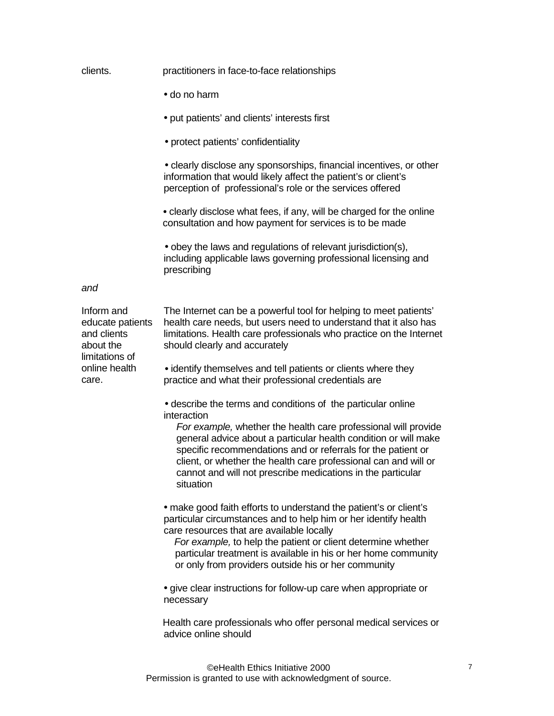| clients.                                                                     | practitioners in face-to-face relationships                                                                                                                                                                                                                                                                                                                                                                                     |
|------------------------------------------------------------------------------|---------------------------------------------------------------------------------------------------------------------------------------------------------------------------------------------------------------------------------------------------------------------------------------------------------------------------------------------------------------------------------------------------------------------------------|
|                                                                              | • do no harm                                                                                                                                                                                                                                                                                                                                                                                                                    |
|                                                                              | • put patients' and clients' interests first                                                                                                                                                                                                                                                                                                                                                                                    |
|                                                                              | • protect patients' confidentiality                                                                                                                                                                                                                                                                                                                                                                                             |
|                                                                              | • clearly disclose any sponsorships, financial incentives, or other<br>information that would likely affect the patient's or client's<br>perception of professional's role or the services offered                                                                                                                                                                                                                              |
|                                                                              | • clearly disclose what fees, if any, will be charged for the online<br>consultation and how payment for services is to be made                                                                                                                                                                                                                                                                                                 |
|                                                                              | • obey the laws and regulations of relevant jurisdiction(s),<br>including applicable laws governing professional licensing and<br>prescribing                                                                                                                                                                                                                                                                                   |
| and                                                                          |                                                                                                                                                                                                                                                                                                                                                                                                                                 |
| Inform and<br>educate patients<br>and clients<br>about the<br>limitations of | The Internet can be a powerful tool for helping to meet patients'<br>health care needs, but users need to understand that it also has<br>limitations. Health care professionals who practice on the Internet<br>should clearly and accurately                                                                                                                                                                                   |
| online health<br>care.                                                       | • identify themselves and tell patients or clients where they<br>practice and what their professional credentials are                                                                                                                                                                                                                                                                                                           |
|                                                                              | • describe the terms and conditions of the particular online<br>interaction<br>For example, whether the health care professional will provide<br>general advice about a particular health condition or will make<br>specific recommendations and or referrals for the patient or<br>client, or whether the health care professional can and will or<br>cannot and will not prescribe medications in the particular<br>situation |
|                                                                              | • make good faith efforts to understand the patient's or client's<br>particular circumstances and to help him or her identify health<br>care resources that are available locally<br>For example, to help the patient or client determine whether<br>particular treatment is available in his or her home community<br>or only from providers outside his or her community                                                      |
|                                                                              | • give clear instructions for follow-up care when appropriate or<br>necessary                                                                                                                                                                                                                                                                                                                                                   |
|                                                                              | Health care professionals who offer personal medical services or<br>advice online should                                                                                                                                                                                                                                                                                                                                        |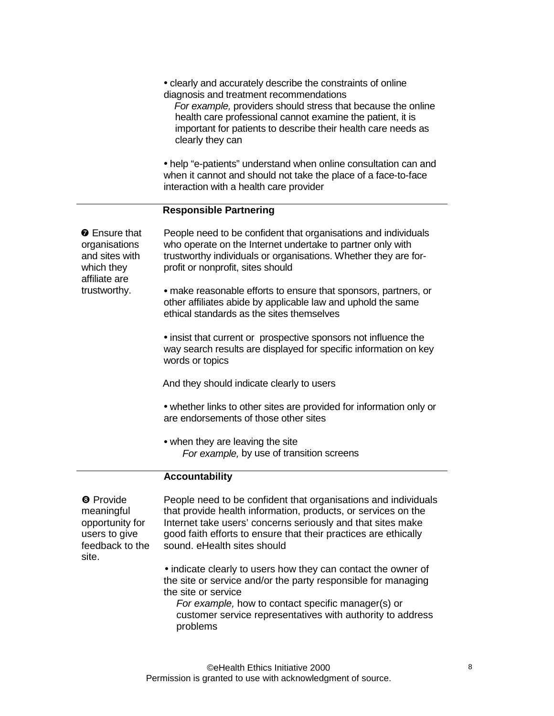|                                                                                                                      | • clearly and accurately describe the constraints of online<br>diagnosis and treatment recommendations<br>For example, providers should stress that because the online<br>health care professional cannot examine the patient, it is<br>important for patients to describe their health care needs as<br>clearly they can<br>• help "e-patients" understand when online consultation can and                                                              |
|----------------------------------------------------------------------------------------------------------------------|-----------------------------------------------------------------------------------------------------------------------------------------------------------------------------------------------------------------------------------------------------------------------------------------------------------------------------------------------------------------------------------------------------------------------------------------------------------|
|                                                                                                                      | when it cannot and should not take the place of a face-to-face<br>interaction with a health care provider                                                                                                                                                                                                                                                                                                                                                 |
|                                                                                                                      | <b>Responsible Partnering</b>                                                                                                                                                                                                                                                                                                                                                                                                                             |
| <b>O</b> Ensure that<br>organisations<br>and sites with<br>which they<br>affiliate are                               | People need to be confident that organisations and individuals<br>who operate on the Internet undertake to partner only with<br>trustworthy individuals or organisations. Whether they are for-<br>profit or nonprofit, sites should                                                                                                                                                                                                                      |
| trustworthy.                                                                                                         | • make reasonable efforts to ensure that sponsors, partners, or<br>other affiliates abide by applicable law and uphold the same<br>ethical standards as the sites themselves                                                                                                                                                                                                                                                                              |
|                                                                                                                      | • insist that current or prospective sponsors not influence the<br>way search results are displayed for specific information on key<br>words or topics                                                                                                                                                                                                                                                                                                    |
|                                                                                                                      | And they should indicate clearly to users                                                                                                                                                                                                                                                                                                                                                                                                                 |
|                                                                                                                      | • whether links to other sites are provided for information only or<br>are endorsements of those other sites                                                                                                                                                                                                                                                                                                                                              |
|                                                                                                                      | • when they are leaving the site<br>For example, by use of transition screens                                                                                                                                                                                                                                                                                                                                                                             |
|                                                                                                                      | <b>Accountability</b>                                                                                                                                                                                                                                                                                                                                                                                                                                     |
| <sup><b><sup>O</sup></b> Provide</sup><br>meaningful<br>opportunity for<br>users to give<br>feedback to the<br>site. | People need to be confident that organisations and individuals<br>that provide health information, products, or services on the<br>Internet take users' concerns seriously and that sites make<br>good faith efforts to ensure that their practices are ethically<br>sound. eHealth sites should<br>• indicate clearly to users how they can contact the owner of<br>the site or service and/or the party responsible for managing<br>the site or service |
|                                                                                                                      | For example, how to contact specific manager(s) or<br>customer service representatives with authority to address<br>problems                                                                                                                                                                                                                                                                                                                              |